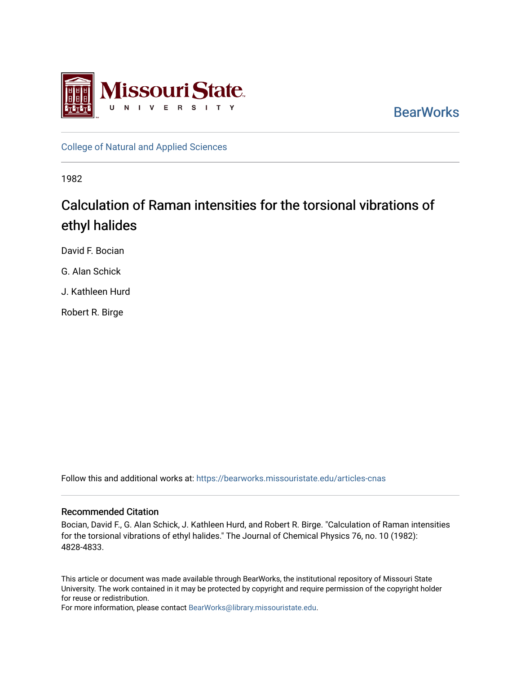

**BearWorks** 

[College of Natural and Applied Sciences](https://bearworks.missouristate.edu/articles-cnas)

1982

# Calculation of Raman intensities for the torsional vibrations of ethyl halides

David F. Bocian

G. Alan Schick

J. Kathleen Hurd

Robert R. Birge

Follow this and additional works at: [https://bearworks.missouristate.edu/articles-cnas](https://bearworks.missouristate.edu/articles-cnas?utm_source=bearworks.missouristate.edu%2Farticles-cnas%2F724&utm_medium=PDF&utm_campaign=PDFCoverPages) 

# Recommended Citation

Bocian, David F., G. Alan Schick, J. Kathleen Hurd, and Robert R. Birge. "Calculation of Raman intensities for the torsional vibrations of ethyl halides." The Journal of Chemical Physics 76, no. 10 (1982): 4828-4833.

This article or document was made available through BearWorks, the institutional repository of Missouri State University. The work contained in it may be protected by copyright and require permission of the copyright holder for reuse or redistribution.

For more information, please contact [BearWorks@library.missouristate.edu.](mailto:BearWorks@library.missouristate.edu)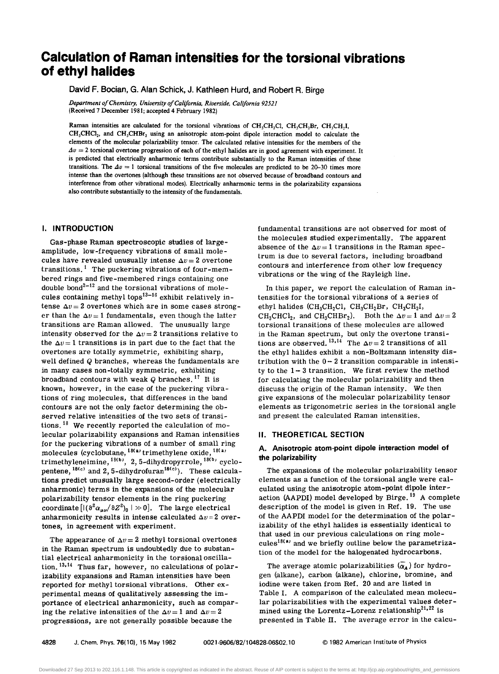# **Calculation of Raman intensities for the torsional vibrations of ethyl halides**

David F. Bocian, G. Alan Schick, J. Kathleen Hurd, and Robert R. Birge

*Department o/Chemistry, University o/California, Riverside, California 92521*  (Received 7 December 1981; accepted 4 February 1982)

Raman intensities are calculated for the torsional vibrations of  $CH_3CH_2Cl$ ,  $CH_3CH_3Br$ ,  $CH_3CH_3I$ ,  $CH_3CHCl_2$ , and  $CH_3CHBr_2$  using an anisotropic atom-point dipole interaction model to calculate the elements of the molecular polarizability tensor. The calculated relative intensities for the members of the  $\Delta v = 2$  torsional overtone progression of each of the ethyl halides are in good agreement with experiment. It is predicted that electrically anharmonic terms contribute substantially to the Raman intensities of these transitions. The  $\Delta v = 1$  torsional transitions of the five molecules are predicted to be 20-30 times more intense than the overtones (although these transitions are not observed because of broadband contours and interference from other vibrational modes). Electrically anharmonic terms in the polarizability expansions also contribute substantially to the intensity of the fundamentals.

## I. INTRODUCTION

Gas-phase Raman spectroscopic studies of largeamplitude, low-frequency vibrations of small molecules have revealed unusually intense  $\Delta v = 2$  overtone transitions.<sup>1</sup> The puckering vibrations of four-membered rings and five-membered rings containing one double bond<sup>2-12</sup> and the torsional vibrations of molecules containing methyl tops<sup>13-16</sup> exhibit relatively intense  $\Delta v = 2$  overtones which are in some cases stronger than the  $\Delta v = 1$  fundamentals, even though the latter transitions are Raman allowed. The unusually large intensity observed for the  $\Delta v = 2$  transitions relative to the  $\Delta v = 1$  transitions is in part due to the fact that the overtones are totally symmetric, exhibiting sharp, well defined Q branches, whereas the fundamentals are in many cases non-totally symmetric, exhibiting broadband contours with weak *Q* branches. 17 It is known, however, in the case of the puckering vibrations of ring molecules, that differences in the band contours are not the only factor determining the observed relative intensities of the two sets of transitions.  $18$  We recently reported the calculation of molecular polarizability expansions and Raman intensities for the puckering vibrations of a number of small ring molecules (cyclobutane,  $^{18(4)}$  trimethylene oxide,  $^{18(4)}$ trimethyleneimine, <sup>18(b)</sup>,2,5-dihydropyrrole, <sup>18(b)</sup> cyclopentene,  $18(c)$  and 2, 5-dihydrofuran<sup>18(c)</sup>). These calculations predict unusually large second-order (electrically anharmonic) terms in the expansions of the molecular polarizability tensor elements in the ring puckering coordinate  $[(\partial^2 \alpha_{\mu\nu}/\partial Z^2)_0 \mid \gg 0]$ . The large electrical anharmonicity results in intense calculated  $\Delta v = 2$  overtones, in agreement with experiment.

The appearance of  $\Delta v = 2$  methyl torsional overtones in the Raman spectrum is undoubtedly due to substantial electrical anharmonicity in the torsionaloscillation.<sup>13,14</sup> Thus far, however, no calculations of polarizability expansions and Raman intensities have been reported for methyl torsional vibrations. Other experimental means of qualitatively assessing the importance of electrical anharmonicity, such as comparing the relative intensities of the  $\Delta v=1$  and  $\Delta v=2$ progressions, are not generally possible because the

fundamental transitions are not observed for most of the molecules studied experimentally. The apparent absence of the  $\Delta v = 1$  transitions in the Raman spectrum is due to several factors, including broadband contours and interference from other low frequency vibrations or the wing of the Rayleigh line.

In this paper, we report the calculation of Raman intensities for the torsional vibrations of a series of ethyl halides (CH<sub>3</sub>CH<sub>2</sub>Cl, CH<sub>3</sub>CH<sub>2</sub>Br, CH<sub>3</sub>CH<sub>2</sub>I, CH<sub>3</sub>CHCl<sub>2</sub>, and CH<sub>3</sub>CHBr<sub>2</sub>). Both the  $\Delta v = 1$  and  $\Delta v = 2$ torsional transitions of these molecules are allowed in the Raman spectrum, but only the overtone transitions are observed.<sup>13,14</sup> The  $\Delta v=2$  transitions of all the ethyl halides exhibit a non-Boltzmann intensity distribution with the  $0-2$  transition comparable in intensity to the  $1-3$  transition. We first review the method for calculating the molecular polarizability and then discuss the origin of the Raman intensity. We then give expansions of the molecular polarizability tensor elements as trigonometric series in the torsional angle and present the calculated Raman intensities.

#### II. THEORETICAL SECTION

#### A. Anisotropic atom-point dipole interaction model of the polarizability

The expansions of the molecular polarizability tensor elements as a function of the torsional angle were calculated using the anisotropic atom-point dipole interaction (AAPDI) model developed by Birge.<sup>19</sup> A complete description of the model is given in Ref. 19. The use of the AAPDI model for the determination of the polarizability of the ethyl halides is essentially identical to that used in our previous calculations on ring molecules<sup>18(a)</sup> and we briefly outline below the parametrization of the model for the halogenated hydrocarbons.

The average atomic polarizabilities  $\overline{(\alpha_A)}$  for hydrogen (alkane), carbon (alkane), chlorine, bromine, and iodine were taken from Ref. 20 and are listed in Table I. A comparison of the calculated mean molecular polarizabilities with the experimental values determined using the Lorentz-Lorenz relationship<sup>21,22</sup> is presented in Table II. The average error in the calcu-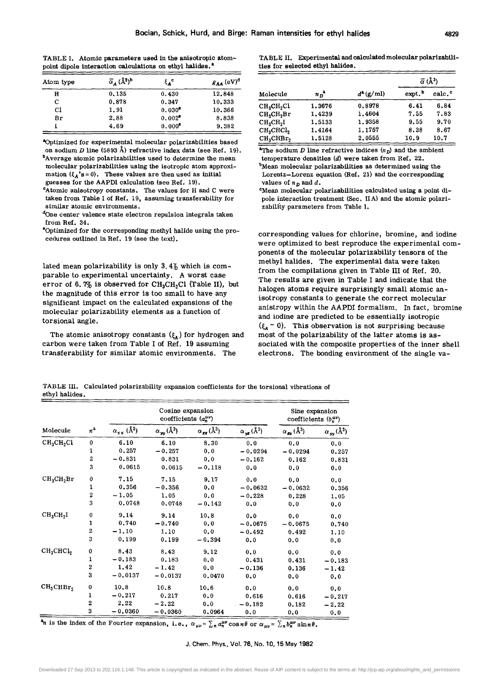TABLE I. Atomic parameters used in the anisotropic atompoint dipole interaction calculations on ethyl halides.<sup>2</sup>

| Atom type | $\overline{\alpha}_A$ ( $\AA$ <sup>3</sup> ) <sup>b</sup> | $\xi_{\rm A}^{\rm c}$ | $g_{AA}$ (eV) <sup>d</sup> |  |
|-----------|-----------------------------------------------------------|-----------------------|----------------------------|--|
| H         | 0.135                                                     | 0.430                 | 12.848                     |  |
| C         | 0.878                                                     | 0.347                 | 10.333                     |  |
| C1        | 1.91                                                      | $0.030^{\circ}$       | 10.366                     |  |
| Br        | 2.88                                                      | $0.002^{\circ}$       | 8.838                      |  |
|           | 4.69                                                      | $0.000$ <sup>e</sup>  | 9.382                      |  |

"Optimized for experimental molecular polarizabilities based on sodium *D* line (5893 A) refractive index data (see Ref. 19).

molecular polarizabilities using the isotropic atom approximation  $({\xi_A}^s s = 0)$ . These values are then used as initial guesses for the AAPDI calculation (see Ref. 19).

<sup>c</sup>Atomic anisotropy constants. The values for H and C were taken from Table I of Ref. 19, assuming transferability for similar atomic environments.

<sup>d</sup>One center valence state electron repulsion integrals taken from Ref. 34.

·Optimized for the corresponding methyl halide using the procedures outlined in Ref. 19 (see the text).

lated mean polarizability is only 3.4% which is comparable to experimental uncertainty. A worst case error of 6.7% is observed for  $CH<sub>3</sub>CH<sub>2</sub>Cl$  (Table II), but the magnitude of this error is too small to have any Significant impact on the calculated expansions of the molecular polarizability elements as a function of torsional angle.

The atomic anisotropy constants  $({\xi_A})$  for hydrogen and carbon were taken from Table I of Ref. 19 assuming transferability for similar atomic environments. The

TABLE II. Experimental and calculated molecular polarizabilities for seleoted ethyl halides.

| $\bar{\alpha}_A$ ( $\hat{A}^3$ ) <sup>b</sup><br>m type |                                                           | $\mathbf{\xi}_{\mathbf{A}}^{\mathbf{c}}$                 | $g_{AA}$ (eV) <sup>d</sup> |                                                                         |                  |                  | $\vec{\alpha}$ (Å <sup>3</sup> ) |                    |
|---------------------------------------------------------|-----------------------------------------------------------|----------------------------------------------------------|----------------------------|-------------------------------------------------------------------------|------------------|------------------|----------------------------------|--------------------|
| H                                                       | 0.135                                                     | 0.430                                                    | 12.848                     | Molecule                                                                | $n_p^a$          | $d^2$ (g/ml)     | b<br>expt.                       | calc. <sup>c</sup> |
| C.<br>C1                                                | 0.878<br>1.91                                             | 0.347<br>$0.030^{\circ}$                                 | 10.333<br>10.366           | CH <sub>3</sub> CH <sub>2</sub> Cl                                      | 1.3676           | 0.8978           | 6.41<br>7.55                     | 6.84<br>7.83       |
| Br                                                      | 2.88<br>4.69                                              | $0.002^{\circ}$<br>$0.000$ <sup><math>\circ</math></sup> | 8.838<br>9.382             | CH <sub>s</sub> CH <sub>2</sub> Br<br>CH <sub>3</sub> CH <sub>2</sub> I | 1,4239<br>1,5133 | 1,4604<br>1.9358 | 9.55                             | 9.70               |
|                                                         | timized for experimental molecular polarizabilities based |                                                          |                            | CH <sub>3</sub> CHCl <sub>2</sub><br>CH <sub>2</sub> CHBr <sub>2</sub>  | 1,4164<br>1,5128 | 1.1757<br>2.0555 | 8.38<br>10.9                     | 8.67<br>10.7       |

 ${}^{a}$ The sodium *D* line refractive indices  $(n<sub>D</sub>)$  and the ambient  $b$ Average atomic polarizabilities used to determine the mean temperature densities (d) were taken from Ref. 22. <sup>b</sup>Mean molecular polarizabilities as determined using the

Lorentz-Lorenz equation (Ref. 21) and the corresponding values of  $n<sub>D</sub>$  and d.

cMean molecular polarizabilities calculated using a point dipole interaction treatment (Sec. IIA) and the atomic polarizability parameters from Table I.

corresponding values for chlorine, bromine, and iodine were optimized to best reproduce the experimental components of the molecular polarizability tensors of the methyl halides. The experimental data were taken from the compilations given in Table III of Ref. 20. The results are given in Table I and indicate that the halogen atoms require surprisingly small atomic anisotropy constants to generate the correct molecular anistropy within the AAPDI formalism. In fact, bromine and iodine are predicted to be essentially isotropic  $({\xi_{A} \sim 0})$ . This observation is not surprising because most of the polarizability of the latter atoms is associated with the composite properties of the inner shell electrons. The bonding environment of the single va-

TABLE III. Calculated polarizability expansion coefficients for the torsional vibrations of ethyl halides.

|                                    |                  | Cosine expansion<br>coefficients $(a_n^{\mu\nu})$ |                          |                      |                                   | Sine expansion<br>coefficients $(b_n^{\mu\nu})$ |                      |
|------------------------------------|------------------|---------------------------------------------------|--------------------------|----------------------|-----------------------------------|-------------------------------------------------|----------------------|
| Molecule                           | $n^a$            | $\alpha_{xx}$ (Å <sup>3</sup> )                   | $\alpha_{yy}(\lambda^3)$ | $\alpha_{gg}(\AA^3)$ | $\alpha_{\rm ye}$ ( $\rm \AA^3$ ) | $\alpha_{\rm ex}$ (Å <sup>3</sup> )             | $\alpha_{xy}(\AA^3)$ |
| CH <sub>3</sub> CH <sub>2</sub> Cl | $\bf{0}$         | 6.10                                              | 6.10                     | 8.30                 | 0.0                               | 0.0                                             | 0.0                  |
|                                    | 1                | 0.257                                             | $-0.257$                 | 0.0                  | $-0.0294$                         | $-0.0294$                                       | 0.257                |
|                                    | 2                | $-0.831$                                          | 0.831                    | 0.0                  | $-0.162$                          | 0.162                                           | 0.831                |
|                                    | 3                | 0.0615                                            | 0.0615                   | $-0.118$             | 0.0                               | 0.0                                             | 0.0                  |
| CH <sub>3</sub> CH <sub>2</sub> Br | $\bf{0}$         | 7.15                                              | 7.15                     | 9.17                 | 0.0                               | 0.0                                             | 0.0                  |
|                                    | 1                | 0.356                                             | $-0.356$                 | 0.0                  | $-0.0632$                         | $-0.0632$                                       | 0.356                |
|                                    | $\boldsymbol{2}$ | $-1.05$                                           | 1.05                     | 0.0                  | $-0.228$                          | 0.228                                           | 1,05                 |
|                                    | 3                | 0,0748                                            | 0.0748                   | $-0.142$             | 0.0                               | 0.0                                             | 0.0                  |
| $CH_3CH_2I$                        | $\bf{0}$         | 9,14                                              | 9.14                     | 10.8                 | 0.0                               | 0.0                                             | 0, 0                 |
|                                    | 1                | 0.740                                             | $-0.740$                 | 0.0                  | $-0.0675$                         | $-0.0675$                                       | 0,740                |
|                                    | $\overline{2}$   | $-1.10$                                           | 1.10                     | 0.0                  | $-0.492$                          | 0.492                                           | 1,10                 |
|                                    | 3                | 0.199                                             | 0.199                    | $-0.394$             | 0.0                               | 0.0                                             | 0.0                  |
| CH <sub>3</sub> CHCl <sub>2</sub>  | 0                | 8.43                                              | 8.43                     | 9.12                 | 0.0                               | 0.0                                             | 0.0                  |
|                                    | 1                | $-0.183$                                          | 0.183                    | 0.0                  | 0.431                             | 0.431                                           | $-0.183$             |
|                                    | 2                | 1.42                                              | $-1.42$                  | 0.0                  | $-0.136$                          | 0.136                                           | $-1, 42$             |
|                                    | 3                | $-0.0137$                                         | $-0.0137$                | 0.0470               | 0.0                               | 0.0                                             | 0.0                  |
| $CH_3CHBr_2$                       | $\bf{0}$         | 10.8                                              | 10.8                     | 10.6                 | 0.0                               | 0.0                                             | 0.0                  |
|                                    | $\mathbf{1}$     | $-0.217$                                          | 0.217                    | 0.0                  | 0.616                             | 0,616                                           | $-0.217$             |
|                                    | $\overline{2}$   | 2.22                                              | $-2.22$                  | 0.0                  | $-0.182$                          | 0.182                                           | $-2.22$              |
|                                    | 3                | $-0.0360$                                         | $-0.0360$                | 0.0964               | 0.0                               | 0.0                                             | 0.0                  |

<sup>3</sup>n is the index of the Fourier expansion, i.e.,  $\alpha_{\mu\nu} = \sum_n a_n^{\mu\nu} \cos n\theta$  or  $\alpha_{\mu\nu} = \sum_n b_n^{\mu\nu} \sin n\theta$ .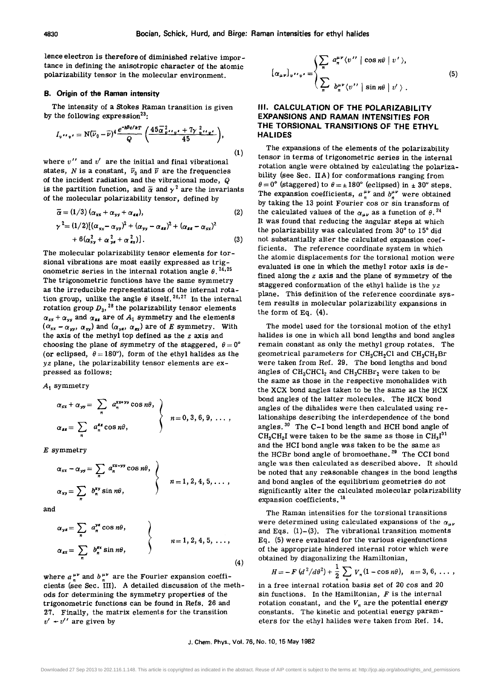lence electron is therefore of diminished relative importance in defining the anisotropic character of the atomic polarizability tensor in the molecular environment.

#### B. Origin of the Raman intensity

The intensity of a Stokes Raman transition is given by the following expression<sup>23</sup>:

the following expression<sup>2</sup>:\n
$$
I_{\mathbf{v}} \cdot \mathbf{v} = \mathbf{N} (\overline{\nu}_0 - \overline{\nu})^4 \frac{e^{-\hbar \overline{\nu}_c / \hbar \mathbf{T}}}{Q} \left( \frac{45 \overline{\alpha}^2_{\mathbf{v}} \cdot \mathbf{v}_r + 7 \gamma_{\mathbf{v}}^2 \cdot \mathbf{v}_r}{45} \right),
$$
\n(1)

where  $v''$  and  $v'$  are the initial and final vibrational states, N is a constant,  $\bar{\nu}_0$  and  $\bar{\nu}$  are the frequencies of the incident radiation and the vibrational mode, Q is the partition function, and  $\overline{\alpha}$  and  $\gamma^2$  are the invariants of the molecular polarizability tensor, defined by

$$
\overline{\alpha} = (1/3) (\alpha_{xx} + \alpha_{yy} + \alpha_{zz}),
$$
\n
$$
\gamma^2 = (1/2) [(\alpha_{xx} - \alpha_{yy})^2 + (\alpha_{yy} - \alpha_{zz})^2 + (\alpha_{zz} - \alpha_{xx})^2
$$
\n
$$
+ 6(\alpha_{xy}^2 + \alpha_{yz}^2 + \alpha_{zz}^2)].
$$
\n(3)

The molecular polarizability tensor elements for torsional vibrations are most easily expressed as trigonometric series in the internal rotation angle  $\theta$ . <sup>24, 25</sup> The trigonometric functions have the same symmetry as the irreducible representations of the internal rotation group, unlike the angle  $\theta$  itself. <sup>26,27</sup> In the internal rotation group  $D_3$ , <sup>28</sup> the polarizability tensor elements  $\alpha_{xx} + \alpha_{yy}$  and  $\alpha_{zz}$  are of  $A_1$  symmetry and the elements  $(\alpha_{xx} - \alpha_{yy}, \alpha_{xy})$  and  $(\alpha_{yx}, \alpha_{xy})$  are of *E* symmetry. With the axis of the methyl top defined as the  $z$  axis and choosing the plane of symmetry of the staggered,  $\theta = 0^{\circ}$ (or eclipsed,  $\theta = 180^{\circ}$ ), form of the ethyl halides as the  $yz$  plane, the polarizability tensor elements are expressed as follows:

 $A_1$  symmetry

$$
\alpha_{xx} + \alpha_{yy} = \sum_{n} a_n^{xxyy} \cos n\theta, \quad \alpha_{xx} = \sum_{n} a_n^{xz} \cos n\theta, \quad \beta_{xx} = 0, 3, 6, 9, \ldots,
$$

*E* symmetry

$$
\alpha_{xx} - \alpha_{yy} = \sum_{n} a_n^{xx-yy} \cos n\theta, \qquad \qquad \left\} \qquad n = 1, 2, 4, 5, \ldots ,
$$
  

$$
\alpha_{xy} = \sum_{n} b_n^{xy} \sin n\theta,
$$

and

$$
\alpha_{\mathsf{y}\mathsf{z}} = \sum_{n} a_{n}^{\mathsf{y}\mathsf{z}} \cos n\theta, \qquad \qquad \left\langle n = 1, 2, 4, 5, \ldots, \alpha_{\mathsf{z}\mathsf{z}} = \sum_{n} b_{n}^{\mathsf{z}\mathsf{z}} \sin n\theta, \qquad \qquad \right\rangle \tag{4}
$$

where  $a_n^{\mu\nu}$  and  $b_n^{\mu\nu}$  are the Fourier expansion coefficients (see Sec. III). A detailed discussion of the methods for determining the symmetry properties of the trigonometric functions can be found in Refs. 26 and 27. Finally, the matrix elements for the transition  $v'$  +  $v'$  are given by

$$
[\alpha_{\mu\nu}]_{\nu}\cdots_{\nu} = \begin{cases} \sum_{n} a_n^{\mu\nu} \langle \nu^{\prime\prime} | \cos n\theta | \nu^{\prime} \rangle, \\ \sum_{n} b_n^{\mu\nu} \langle \nu^{\prime\prime} | \sin n\theta | \nu^{\prime} \rangle. \end{cases}
$$
(5)

## III. CALCULATION OF THE POLARIZABILITY EXPANSIONS AND RAMAN INTENSITIES FOR THE TORSIONAL TRANSITIONS OF THE ETHYL HALIDES

The expansions of the elements of the polarizability tensor in terms of trigonometric series in the internal rotation angle were obtained by calculating the polarizability (see Sec. I1A) for conformations ranging from  $\theta=0^{\circ}$  (staggered) to  $\theta=\pm 180^{\circ}$  (eclipsed) in  $\pm 30^{\circ}$  steps. The expansion coefficients,  $a_n^{\mu\nu}$  and  $b_n^{\mu\nu}$  were obtained by taking the 13 point Fourier cos or sin transform of the calculated values of the  $\alpha_{\mu\nu}$  as a function of  $\theta$ .<sup>24</sup> It was found that reducing the angular steps at which the polarizability was calculated from 30° to 15° did not substantially alter the calculated expansion coefficients. The reference coordinate system in which the atomic displacements for the torsional motion were evaluated is one in which the methyl rotor axis is defined along the *z* axis and the plane of symmetry of the staggered conformation of the ethyl halide is the *yz*  plane. This definition of the reference coordinate system results in molecular polarizability expansions in the form of Eq. (4).

The model used for the torsional motion of the ethyl halides is one in which all bond lengths and bond angles remain constant as only the methyl group rotates. The geometrical parameters for  $CH<sub>3</sub>CH<sub>2</sub>Cl$  and  $CH<sub>3</sub>CH<sub>2</sub>Br$ were taken from Ref. 29. The bond lengths and bond angles of  $CH_3CHCl_2$  and  $CH_3CHBr_2$  were taken to be the same as those in the respective monohalides with the XCX bond angles taken to be the same as the HCX bond angles of the latter molecules. The HCX bond angles of the dihalides were then calculated using relationships describing the interdependence of the bond angles.  $30$  The C-I bond length and HCH bond angle of  $CH_3CH_2I$  were taken to be the same as those in  $CH_3I^{31}$ and the HCI bond angle was taken to be the same as the HCBr bond angle of bromoethane.<sup>29</sup> The CCI bond angle was then calculated as described above. It should be noted that any reasonable changes in the bond lengths and bond angles of the equilibrium geometries do not significantly alter the calculated molecular polarizability expansion coefficients. 18

The Raman intensities for the torsional transitions were determined using calculated expansions of the  $\alpha_{\mu\nu}$ and Eqs.  $(1)$ - $(3)$ . The vibrational transition moments Eq. (5) were evaluated for the various eigenfunctions of the appropriate hindered internal rotor which were obtained by diagonalizing the Hamiltonian,

$$
H = -F (d^2/d\theta^2) + \frac{1}{2} \sum_{n} V_n (1 - \cos n\theta), \quad n = 3, 6, \ldots,
$$

in a free internal rotation basis set of 20 cos and 20 sin functions. In the Hamiltonian,  $F$  is the internal rotation constant, and the  $V_n$  are the potential energy constants. The kinetic and potential energy parameters for the ethyl halides were taken from Ref. 14.

#### J. Chem. Phys., Vol. 76, No. 10, 15 May 1982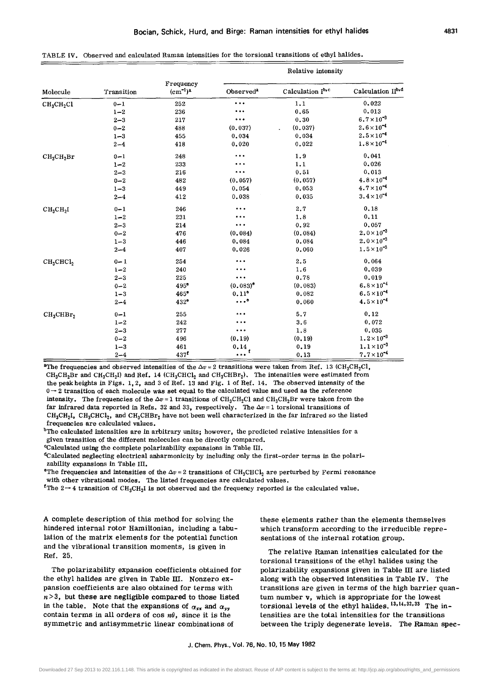|                                    |            |                            | Relative intensity     |                  |                      |  |
|------------------------------------|------------|----------------------------|------------------------|------------------|----------------------|--|
| Molecule                           | Transition | Frequency<br>$(cm^{-1})^a$ | Observed <sup>a</sup>  | Calculation Ib,c | Calculation IIb,d    |  |
| CH <sub>3</sub> CH <sub>2</sub> Cl | $0 - 1$    | 252                        | $\bullet$              | 1.1              | 0.022                |  |
|                                    | $1 - 2$    | 236                        | $\cdots$               | 0.65             | 0.013                |  |
|                                    | $2 - 3$    | 217                        | $\cdots$               | 0.30             | $6.7 \times 10^{-3}$ |  |
|                                    | $0 - 2$    | 488                        | (0.037)                | (0.037)          | $2.6 \times 10^{-4}$ |  |
|                                    | $1 - 3$    | 455                        | 0.034                  | 0.034            | $2.5 \times 10^{-4}$ |  |
|                                    | $2 - 4$    | 418                        | 0.020                  | 0.022            | $1.8 \times 10^{-4}$ |  |
| CH <sub>3</sub> CH <sub>2</sub> Br | $0 - 1$    | 248                        |                        | 1.9              | 0.041                |  |
|                                    | $1 - 2$    | 233                        |                        | 1.1              | 0,026                |  |
|                                    | $2 - 3$    | 216                        | $\ddotsc$              | 0.51             | 0.013                |  |
|                                    | $0 - 2$    | 482                        | (0.057)                | (0, 057)         | $4.8 \times 10^{-4}$ |  |
|                                    | $1 - 3$    | 449                        | 0.054                  | 0.053            | $4.7 \times 10^{-4}$ |  |
|                                    | $2 - 4$    | 412                        | 0.038                  | 0.035            | $3.4 \times 10^{-4}$ |  |
| $CH_3CH_2I$                        | $0 - 1$    | 246                        | $\cdots$               | 2.7              | 0, 18                |  |
|                                    | $1 - 2$    | 231                        | $\cdots$               | 1.8              | 0, 11                |  |
|                                    | $2 - 3$    | 214                        | $\cdots$               | 0.92             | 0.057                |  |
|                                    | $0 - 2$    | 476                        | (0.084)                | (0.084)          | $2.0 \times 10^{-3}$ |  |
|                                    | $1 - 3$    | 446                        | 0.084                  | 0.084            | $2.0 \times 10^{-3}$ |  |
|                                    | $2 - 4$    | 407                        | 0.026                  | 0.060            | $1.5 \times 10^{-3}$ |  |
| CH <sub>3</sub> CHCl <sub>2</sub>  | $0 - 1$    | 254                        | $\cdots$               | 2.5              | 0.064                |  |
|                                    | $1 - 2$    | 240                        | $\cdots$               | 1.6              | 0.039                |  |
|                                    | $2 - 3$    | 225                        | $\cdots$               | 0.78             | 0.019                |  |
|                                    | $0 - 2$    | $495^{\circ}$              | $(0.083)$ <sup>o</sup> | (0.083)          | $6.8 \times 10^{-4}$ |  |
|                                    | $1 - 3$    | 465°                       | $0.11^{\circ}$         | 0.082            | $6.5 \times 10^{-4}$ |  |
|                                    | $2 - 4$    | 432 <sup>e</sup>           | $\cdots$ .             | 0.060            | $4.5 \times 10^{-4}$ |  |
| $CH_3CHBr_2$                       | $0 - 1$    | 255                        | $\cdots$               | 5.7              | 0.12                 |  |
|                                    | $1 - 2$    | 242                        |                        | 3.6              | 0.072                |  |
|                                    | $2 - 3$    | 277                        |                        | 1.8              | 0.035                |  |
|                                    | $0 - 2$    | 496                        | (0.19)                 | (0.19)           | $1.2 \times 10^{-3}$ |  |
|                                    | $1 - 3$    | 461                        | 0.14                   | 0.19             | $1.1 \times 10^{-3}$ |  |
|                                    | $2 - 4$    | 437 <sup>5</sup>           | 1<br>$\cdots$          | 0, 13            | $7.7 \times 10^{-4}$ |  |

|  |  | TABLE IV. Observed and calculated Raman intensities for the torsional transitions of ethyl halides. |  |  |  |  |
|--|--|-----------------------------------------------------------------------------------------------------|--|--|--|--|
|--|--|-----------------------------------------------------------------------------------------------------|--|--|--|--|

<sup>a</sup>The frequencies and observed intensities of the  $\Delta v = 2$  transitions were taken from Ref. 13 (CH<sub>3</sub>CH<sub>2</sub>Cl,  $CH_3CH_2Br$  and  $CH_3CH_2I$ ) and Ref. 14 (CH<sub>3</sub>CHCl<sub>2</sub> and CH<sub>3</sub>CHBr<sub>2</sub>). The intensities were estimated from the peak heights in Figs. 1,2, and 3 of Ref. 13 and Fig. 1 of Ref. 14. The observed intensity of the  $0 \rightarrow 2$  transition of each molecule was set equal to the calculated value and used as the reference intensity. The frequencies of the  $\Delta v = 1$  transitions of CH<sub>3</sub>CH<sub>2</sub>Cl and CH<sub>3</sub>CH<sub>2</sub>Br were taken from the far infrared data reported in Refs. 32 and 33, respectively. The  $\Delta v = 1$  torsional transitions of  $CH_3CH_2I$ ,  $CH_3CHCl_2$ , and  $CH_3CHBr_2$  have not been well characterized in the far infrared so the listed frequencies are calculated values.

 $b$ The calculated intensities are in arbitrary units; however, the predicted relative intensities for a given transition of the different molecules can be directly compared.

"Calculated using the complete polarizability expansions in Table III.

<sup>d</sup>Calculated neglecting electrical anharmonicity by including only the first-order terms in the polarizability expansions In Table III.

"The frequencies and intensities of the  $\Delta v = 2$  transitions of CH<sub>3</sub>CHCl<sub>2</sub> are perturbed by Fermi resonance with other vibrational modes. The listed frequencies are calculated values.

<sup>f</sup>The 2  $\rightarrow$  4 transition of CH<sub>3</sub>CH<sub>2</sub>I is not observed and the frequency reported is the calculated value.

A complete description of this method for solving the hindered internal rotor Hamiltonian, including a tabulation of the matrix elements for the potential function and the vibrational transition moments, is given in Ref. 25.

The polarizability expansion coefficients obtained for the ethyl halides are given in Table III. Nonzero expansion coefficients are also obtained for terms with  $n > 3$ , but these are negligible compared to those listed in the table. Note that the expansions of  $\alpha_{xx}$  and  $\alpha_{yy}$ contain terms in all orders of cos  $n\theta$ , since it is the symmetric and antisymmetric linear combinations of

these elements rather than the elements themselves which transform according to the irreducible representations of the internal rotation group.

The relative Raman intensities calculated for the torsional transitions of the ethyl halides using the polarizability expansions given in Table III are listed along with the observed intensities in Table IV. The transitions are given in terms of the high barrier quantum number v, which is appropriate for the lowest torsional levels of the ethyl halides.  $13,14,32,33$  The intensities are the total intensities for the transitions between the triply degenerate levels. The Raman spec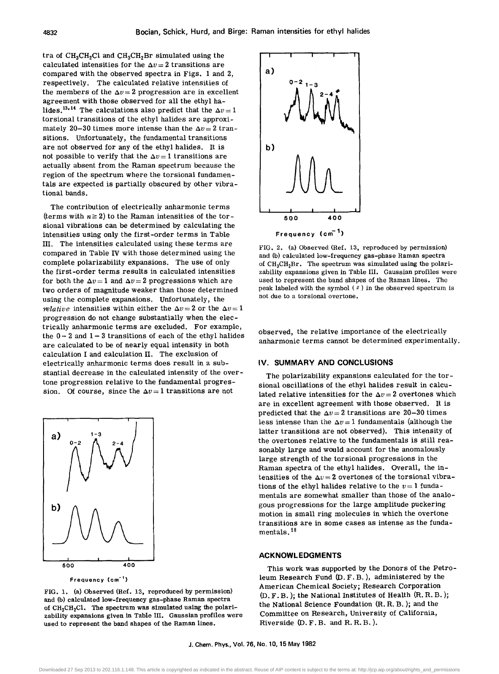tra of  $CH<sub>3</sub>CH<sub>2</sub>Cl$  and  $CH<sub>3</sub>CH<sub>2</sub>Br$  simulated using the calculated intensities for the  $\Delta v=2$  transitions are compared with the observed spectra in Figs. 1 and 2, respectively. The calculated relative intensities of the members of the  $\Delta v = 2$  progression are in excellent agreement with those observed for all the ethyl halides.<sup>13,14</sup> The calculations also predict that the  $\Delta v = 1$ torsional transitions of the ethyl halides are approximately 20-30 times more intense than the  $\Delta v = 2$  transitions. Unfortunately, the fundamental transitions are not observed for any of the ethyl halides. It is not possible to verify that the  $\Delta v = 1$  transitions are actually absent from the Raman spectrum because the region of the spectrum where the torsional fundamentals are expected is partially obscured by other vibrational bands.

The contribution of electrically anharmonic terms (terms with  $n \geq 2$ ) to the Raman intensities of the torsional vibrations can be determined by calculating the intensities using only the first-order terms in Table III. The intensities calculated using these terms are compared in Table IV with those determined using the complete polarizability expansions. The use of only the first-order terms results in calculated intensities for both the  $\Delta v = 1$  and  $\Delta v = 2$  progressions which are two orders of magnitude weaker than those determined using the complete expansions. Unfortunately, the *relative* intensities within either the  $\Delta v = 2$  or the  $\Delta v = 1$ progression do not change substantially when the electrically anharmonic terms are excluded. For example, the  $0 - 2$  and  $1 - 3$  transitions of each of the ethyl halides are calculated to be of nearly equal intensity in both calculation I and calculation II. The exclusion of electrically anharmonic terms does result in a substantial decrease in the calculated intensity of the overtone progression relative to the fundamental progression. Of course, since the  $\Delta v = 1$  transitions are not



Frequency (cm-')

FIG. 1. (a) Observed (Ref. 13, reproduced by permission) and (b) calculated low-frequency gas-phase Raman spectra of  $CH_3CH_2Cl$ . The spectrum was simulated using the polarizability expansions given in Table III. Gaussian profiles were used to represent the band shapes of the Raman lines.



FIG. 2. (a) Observed (Ref. 13, reproduced by permission) and (b) calculated low-frequency gas-phase Raman spectra of  $CH<sub>3</sub>CH<sub>2</sub>Br$ . The spectrum was simulated using the polarizability expansions given in Table III. Gaussian profiles were used to represent the band shapes of the Raman lines. The peak labeled with the symbol  $(*)$  in the observed spectrum is not due to a torsional overtone.

observed, the relative importance of the electrically anharmonic terms cannot be determined experimentally.

#### IV. SUMMARY AND CONCLUSIONS

The polarizability expansions calculated for the torsional oscillations of the ethyl halides result in calculated relative intensities for the  $\Delta v = 2$  overtones which are in excellent agreement with those observed. It is predicted that the  $\Delta v = 2$  transitions are 20-30 times less intense than the  $\Delta v = 1$  fundamentals (although the latter transitions are not observed). This intensity of the overtones relative to the fundamentals is still reasonably large and would account for the anomalously large strength of the torsional progressions in the Raman spectra of the ethyl halides. Overall, the intensities of the  $\Delta v = 2$  overtones of the torsional vibrations of the ethyl halides relative to the  $v=1$  fundamentals are somewhat smaller than those of the analogous progressions for the large amplitude puckering motion in small ring molecules in which the overtone transitions are in some cases as intense as the fundamentals. <sup>18</sup>

#### ACKNOWLEDGMENTS

This work was supported by the Donors of the Petroleum Research Fund (0. F. B.), administered by the American Chemical Society; Research Corporation (0. F. B. ); the National Institutes of Health (R. R. B. ); the National Science Foundation (R. R. B. ); and the Committee on Research, University of California, Riverside (0. F. B. and R. R. B. ).